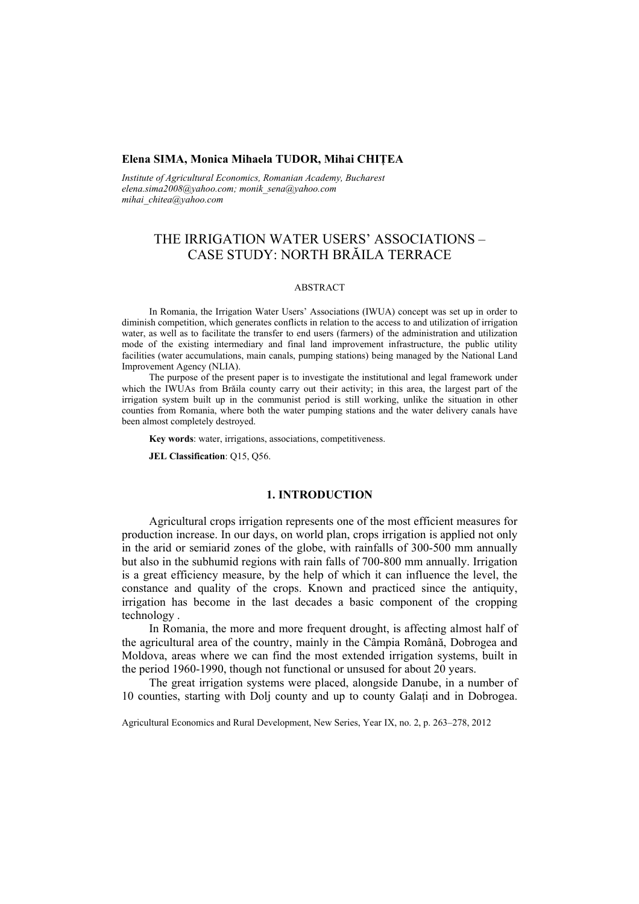## **Elena SIMA, Monica Mihaela TUDOR, Mihai CHIŢEA**

*Institute of Agricultural Economics, Romanian Academy, Bucharest elena.sima2008@yahoo.com; monik\_sena@yahoo.com mihai\_chitea@yahoo.com*

# THE IRRIGATION WATER USERS' ASSOCIATIONS – CASE STUDY: NORTH BRĂILA TERRACE

## ABSTRACT

In Romania, the Irrigation Water Users' Associations (IWUA) concept was set up in order to diminish competition, which generates conflicts in relation to the access to and utilization of irrigation water, as well as to facilitate the transfer to end users (farmers) of the administration and utilization mode of the existing intermediary and final land improvement infrastructure, the public utility facilities (water accumulations, main canals, pumping stations) being managed by the National Land Improvement Agency (NLIA).

The purpose of the present paper is to investigate the institutional and legal framework under which the IWUAs from Brăila county carry out their activity; in this area, the largest part of the irrigation system built up in the communist period is still working, unlike the situation in other counties from Romania, where both the water pumping stations and the water delivery canals have been almost completely destroyed.

**Key words**: water, irrigations, associations, competitiveness.

**JEL Classification**: Q15, Q56.

### **1. INTRODUCTION**

Agricultural crops irrigation represents one of the most efficient measures for production increase. In our days, on world plan, crops irrigation is applied not only in the arid or semiarid zones of the globe, with rainfalls of 300-500 mm annually but also in the subhumid regions with rain falls of 700-800 mm annually. Irrigation is a great efficiency measure, by the help of which it can influence the level, the constance and quality of the crops. Known and practiced since the antiquity, irrigation has become in the last decades a basic component of the cropping technology .

In Romania, the more and more frequent drought, is affecting almost half of the agricultural area of the country, mainly in the Câmpia Română, Dobrogea and Moldova, areas where we can find the most extended irrigation systems, built in the period 1960-1990, though not functional or unsused for about 20 years.

The great irrigation systems were placed, alongside Danube, in a number of 10 counties, starting with Dolj county and up to county Galaţi and in Dobrogea.

Agricultural Economics and Rural Development, New Series, Year IX, no. 2, p. 263–278, 2012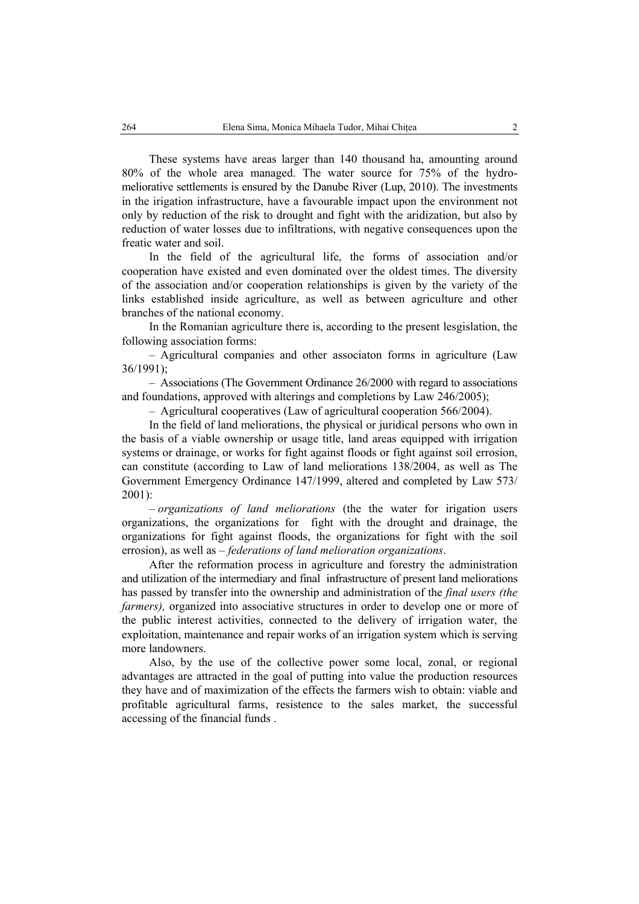These systems have areas larger than 140 thousand ha, amounting around 80% of the whole area managed. The water source for 75% of the hydromeliorative settlements is ensured by the Danube River (Lup, 2010). The investments in the irigation infrastructure, have a favourable impact upon the environment not only by reduction of the risk to drought and fight with the aridization, but also by reduction of water losses due to infiltrations, with negative consequences upon the freatic water and soil.

In the field of the agricultural life, the forms of association and/or cooperation have existed and even dominated over the oldest times. The diversity of the association and/or cooperation relationships is given by the variety of the links established inside agriculture, as well as between agriculture and other branches of the national economy.

In the Romanian agriculture there is, according to the present lesgislation, the following association forms:

– Agricultural companies and other associaton forms in agriculture (Law 36/1991);

– Associations (The Government Ordinance 26/2000 with regard to associations and foundations, approved with alterings and completions by Law 246/2005);

– Agricultural cooperatives (Law of agricultural cooperation 566/2004).

In the field of land meliorations, the physical or juridical persons who own in the basis of a viable ownership or usage title, land areas equipped with irrigation systems or drainage, or works for fight against floods or fight against soil errosion, can constitute (according to Law of land meliorations 138/2004, as well as The Government Emergency Ordinance 147/1999, altered and completed by Law 573/  $2001$ ).

– *organizations of land meliorations* (the the water for irigation users organizations, the organizations for fight with the drought and drainage, the organizations for fight against floods, the organizations for fight with the soil errosion), as well as – *federations of land melioration organizations*.

After the reformation process in agriculture and forestry the administration and utilization of the intermediary and final infrastructure of present land meliorations has passed by transfer into the ownership and administration of the *final users (the farmers*), organized into associative structures in order to develop one or more of the public interest activities, connected to the delivery of irrigation water, the exploitation, maintenance and repair works of an irrigation system which is serving more landowners.

Also, by the use of the collective power some local, zonal, or regional advantages are attracted in the goal of putting into value the production resources they have and of maximization of the effects the farmers wish to obtain: viable and profitable agricultural farms, resistence to the sales market, the successful accessing of the financial funds .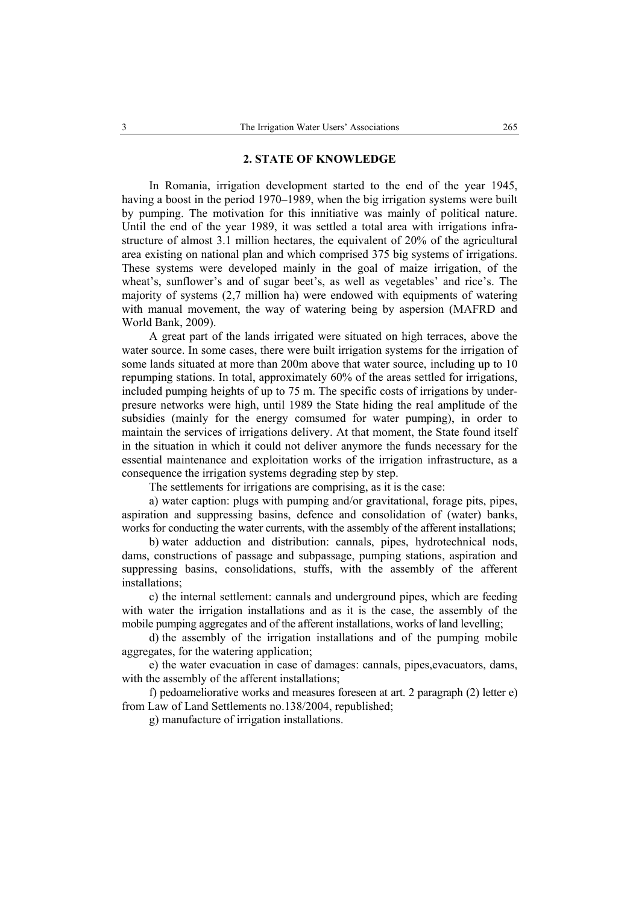## **2. STATE OF KNOWLEDGE**

In Romania, irrigation development started to the end of the year 1945, having a boost in the period 1970–1989, when the big irrigation systems were built by pumping. The motivation for this innitiative was mainly of political nature. Until the end of the year 1989, it was settled a total area with irrigations infrastructure of almost 3.1 million hectares, the equivalent of 20% of the agricultural area existing on national plan and which comprised 375 big systems of irrigations. These systems were developed mainly in the goal of maize irrigation, of the wheat's, sunflower's and of sugar beet's, as well as vegetables' and rice's. The majority of systems (2,7 million ha) were endowed with equipments of watering with manual movement, the way of watering being by aspersion (MAFRD and World Bank, 2009).

A great part of the lands irrigated were situated on high terraces, above the water source. In some cases, there were built irrigation systems for the irrigation of some lands situated at more than 200m above that water source, including up to 10 repumping stations. In total, approximately 60% of the areas settled for irrigations, included pumping heights of up to 75 m. The specific costs of irrigations by underpresure networks were high, until 1989 the State hiding the real amplitude of the subsidies (mainly for the energy comsumed for water pumping), in order to maintain the services of irrigations delivery. At that moment, the State found itself in the situation in which it could not deliver anymore the funds necessary for the essential maintenance and exploitation works of the irrigation infrastructure, as a consequence the irrigation systems degrading step by step.

The settlements for irrigations are comprising, as it is the case:

a) water caption: plugs with pumping and/or gravitational, forage pits, pipes, aspiration and suppressing basins, defence and consolidation of (water) banks, works for conducting the water currents, with the assembly of the afferent installations;

b) water adduction and distribution: cannals, pipes, hydrotechnical nods, dams, constructions of passage and subpassage, pumping stations, aspiration and suppressing basins, consolidations, stuffs, with the assembly of the afferent installations;

c) the internal settlement: cannals and underground pipes, which are feeding with water the irrigation installations and as it is the case, the assembly of the mobile pumping aggregates and of the afferent installations, works of land levelling;

d) the assembly of the irrigation installations and of the pumping mobile aggregates, for the watering application;

e) the water evacuation in case of damages: cannals, pipes,evacuators, dams, with the assembly of the afferent installations;

f) pedoameliorative works and measures foreseen at art. 2 paragraph (2) letter e) from Law of Land Settlements no.138/2004, republished;

g) manufacture of irrigation installations.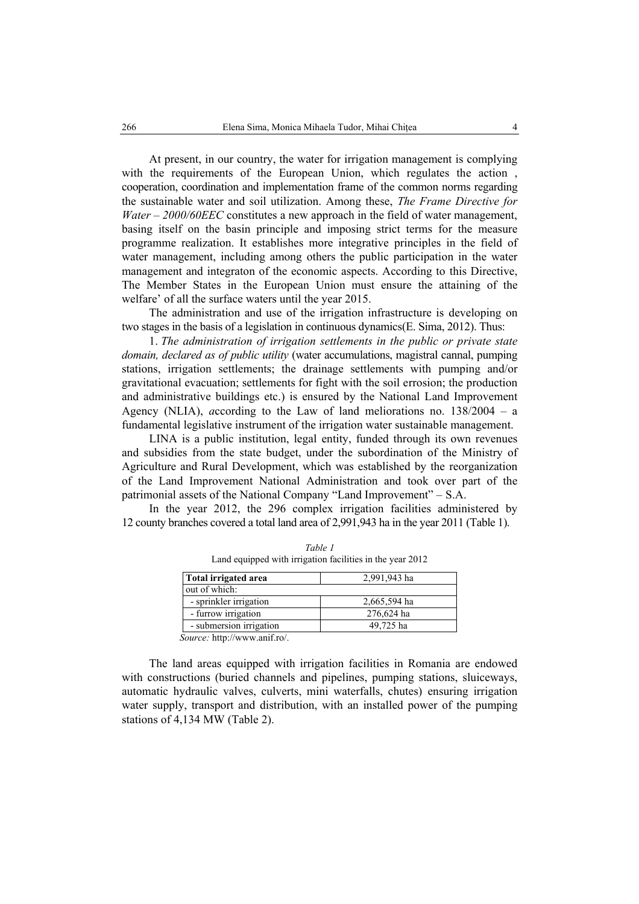At present, in our country, the water for irrigation management is complying with the requirements of the European Union, which regulates the action , cooperation, coordination and implementation frame of the common norms regarding the sustainable water and soil utilization. Among these, *The Frame Directive for Water – 2000/60EEC* constitutes a new approach in the field of water management, basing itself on the basin principle and imposing strict terms for the measure programme realization. It establishes more integrative principles in the field of water management, including among others the public participation in the water management and integraton of the economic aspects. According to this Directive, The Member States in the European Union must ensure the attaining of the welfare' of all the surface waters until the year 2015.

The administration and use of the irrigation infrastructure is developing on two stages in the basis of a legislation in continuous dynamics(E. Sima, 2012). Thus:

1. *The administration of irrigation settlements in the public or private state domain, declared as of public utility* (water accumulations, magistral cannal, pumping stations, irrigation settlements; the drainage settlements with pumping and/or gravitational evacuation; settlements for fight with the soil errosion; the production and administrative buildings etc.) is ensured by the National Land Improvement Agency (NLIA), *a*ccording to the Law of land meliorations no. 138/2004 – a fundamental legislative instrument of the irrigation water sustainable management.

LINA is a public institution, legal entity, funded through its own revenues and subsidies from the state budget, under the subordination of the Ministry of Agriculture and Rural Development, which was established by the reorganization of the Land Improvement National Administration and took over part of the patrimonial assets of the National Company "Land Improvement" – S.A.

In the year 2012, the 296 complex irrigation facilities administered by 12 county branches covered a total land area of 2,991,943 ha in the year 2011 (Table 1).

| Total irrigated area                             | 2,991,943 ha |
|--------------------------------------------------|--------------|
| out of which:                                    |              |
| - sprinkler irrigation                           | 2,665,594 ha |
| - furrow irrigation                              | 276,624 ha   |
| - submersion irrigation                          | 49,725 ha    |
| $C_1, \ldots, C_n$ to the large section of $C_n$ |              |

*Table 1*  Land equipped with irrigation facilities in the year 2012

*Source:* http://www.anif.ro/.

The land areas equipped with irrigation facilities in Romania are endowed with constructions (buried channels and pipelines, pumping stations, sluiceways, automatic hydraulic valves, culverts, mini waterfalls, chutes) ensuring irrigation water supply, transport and distribution, with an installed power of the pumping stations of 4,134 MW (Table 2).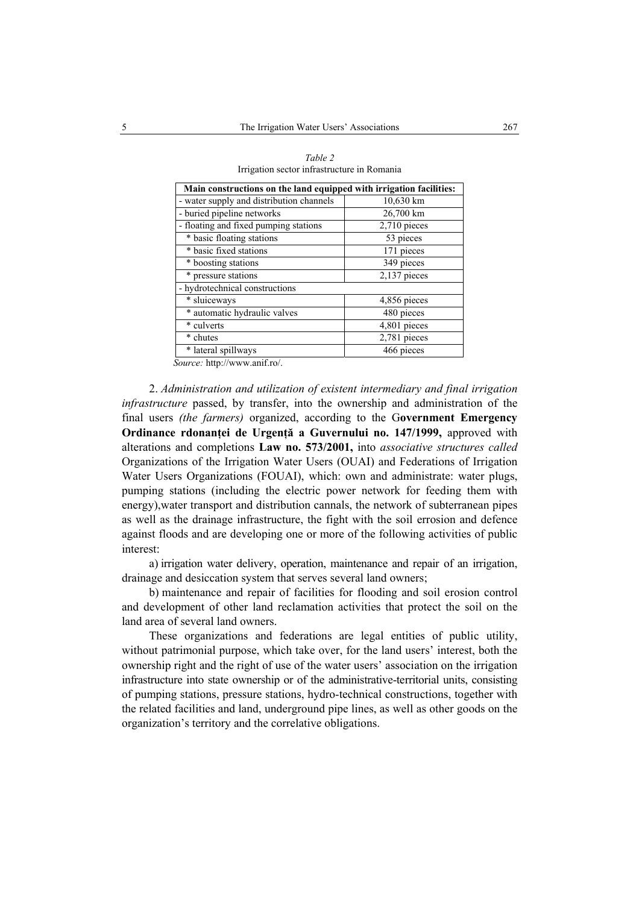| Main constructions on the land equipped with irrigation facilities: |                           |  |  |  |  |
|---------------------------------------------------------------------|---------------------------|--|--|--|--|
| - water supply and distribution channels                            | 10,630 km                 |  |  |  |  |
| - buried pipeline networks                                          | 26,700 km                 |  |  |  |  |
| - floating and fixed pumping stations                               | $2,710$ pieces            |  |  |  |  |
| * basic floating stations                                           | 53 pieces                 |  |  |  |  |
| * basic fixed stations                                              | 171 pieces                |  |  |  |  |
| * boosting stations                                                 | 349 pieces                |  |  |  |  |
| * pressure stations                                                 | $2,137$ pieces            |  |  |  |  |
| - hydrotechnical constructions                                      |                           |  |  |  |  |
| * sluiceways                                                        | 4,856 pieces              |  |  |  |  |
| * automatic hydraulic valves                                        | 480 pieces                |  |  |  |  |
| * culverts                                                          | $\overline{4,801}$ pieces |  |  |  |  |
| * chutes                                                            | 2,781 pieces              |  |  |  |  |
| * lateral spillways<br>$\cdot$ $\sim$ $\cdot$                       | 466 pieces                |  |  |  |  |

*Table 2*  Irrigation sector infrastructure in Romania

 *Source:* http://www.anif.ro/.

2. *Administration and utilization of existent intermediary and final irrigation infrastructure* passed, by transfer, into the ownership and administration of the final users *(the farmers)* organized, according to the G**overnment Emergency Ordinance rdonanţei de Urgenţă a Guvernului no. 147/1999,** approved with alterations and completions **Law no. 573/2001,** into *associative structures called*  Organizations of the Irrigation Water Users (OUAI) and Federations of Irrigation Water Users Organizations (FOUAI), which: own and administrate: water plugs, pumping stations (including the electric power network for feeding them with energy),water transport and distribution cannals, the network of subterranean pipes as well as the drainage infrastructure, the fight with the soil errosion and defence against floods and are developing one or more of the following activities of public interest:

a) irrigation water delivery, operation, maintenance and repair of an irrigation, drainage and desiccation system that serves several land owners;

b) maintenance and repair of facilities for flooding and soil erosion control and development of other land reclamation activities that protect the soil on the land area of several land owners.

These organizations and federations are legal entities of public utility, without patrimonial purpose, which take over, for the land users' interest, both the ownership right and the right of use of the water users' association on the irrigation infrastructure into state ownership or of the administrative-territorial units, consisting of pumping stations, pressure stations, hydro-technical constructions, together with the related facilities and land, underground pipe lines, as well as other goods on the organization's territory and the correlative obligations.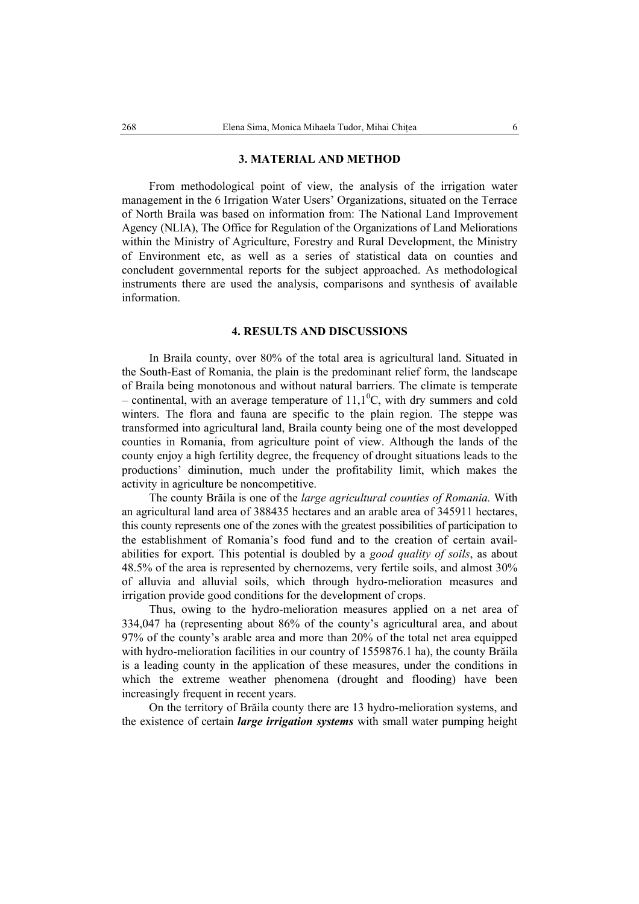#### **3. MATERIAL AND METHOD**

From methodological point of view, the analysis of the irrigation water management in the 6 Irrigation Water Users' Organizations, situated on the Terrace of North Braila was based on information from: The National Land Improvement Agency (NLIA), The Office for Regulation of the Organizations of Land Meliorations within the Ministry of Agriculture, Forestry and Rural Development, the Ministry of Environment etc, as well as a series of statistical data on counties and concludent governmental reports for the subject approached. As methodological instruments there are used the analysis, comparisons and synthesis of available information.

### **4. RESULTS AND DISCUSSIONS**

In Braila county, over 80% of the total area is agricultural land. Situated in the South-East of Romania, the plain is the predominant relief form, the landscape of Braila being monotonous and without natural barriers. The climate is temperate – continental, with an average temperature of  $11,1^0C$ , with dry summers and cold winters. The flora and fauna are specific to the plain region. The steppe was transformed into agricultural land, Braila county being one of the most developped counties in Romania, from agriculture point of view. Although the lands of the county enjoy a high fertility degree, the frequency of drought situations leads to the productions' diminution, much under the profitability limit, which makes the activity in agriculture be noncompetitive.

The county Brăila is one of the *large agricultural counties of Romania.* With an agricultural land area of 388435 hectares and an arable area of 345911 hectares, this county represents one of the zones with the greatest possibilities of participation to the establishment of Romania's food fund and to the creation of certain availabilities for export. This potential is doubled by a *good quality of soils*, as about 48.5% of the area is represented by chernozems, very fertile soils, and almost 30% of alluvia and alluvial soils, which through hydro-melioration measures and irrigation provide good conditions for the development of crops.

Thus, owing to the hydro-melioration measures applied on a net area of 334,047 ha (representing about 86% of the county's agricultural area, and about 97% of the county's arable area and more than 20% of the total net area equipped with hydro-melioration facilities in our country of 1559876.1 ha), the county Brăila is a leading county in the application of these measures, under the conditions in which the extreme weather phenomena (drought and flooding) have been increasingly frequent in recent years.

On the territory of Brăila county there are 13 hydro-melioration systems, and the existence of certain *large irrigation systems* with small water pumping height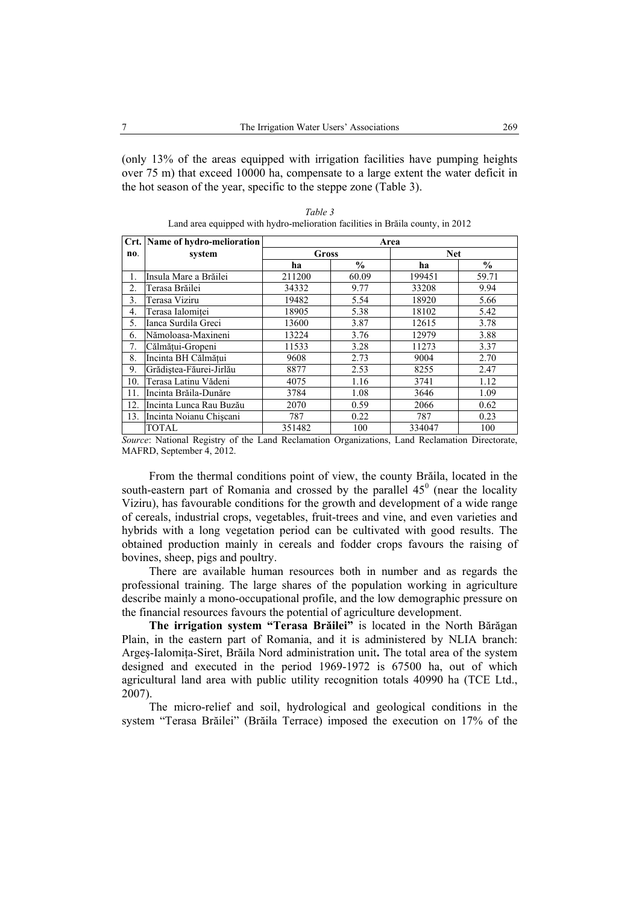(only 13% of the areas equipped with irrigation facilities have pumping heights over 75 m) that exceed 10000 ha, compensate to a large extent the water deficit in the hot season of the year, specific to the steppe zone (Table 3).

|                  | Crt. Name of hydro-melioration | Area   |               |            |               |  |  |
|------------------|--------------------------------|--------|---------------|------------|---------------|--|--|
| no.              | system                         | Gross  |               | <b>Net</b> |               |  |  |
|                  |                                | ha     | $\frac{0}{0}$ |            | $\frac{0}{0}$ |  |  |
| 1.               | Insula Mare a Brăilei          | 211200 | 60.09         | 199451     | 59.71         |  |  |
| $\overline{2}$ . | Terasa Brăilei                 | 34332  | 9.77          | 33208      | 9.94          |  |  |
| 3.               | Terasa Viziru                  | 19482  | 5.54          | 18920      | 5.66          |  |  |
| 4.               | Terasa Ialomitei               | 18905  | 5.38          | 18102      | 5.42          |  |  |
| 5.               | Ianca Surdila Greci            | 13600  | 3.87          | 12615      | 3.78          |  |  |
| 6.               | Nămoloasa-Maxineni             | 13224  | 3.76          | 12979      | 3.88          |  |  |
| 7.               | Călmățui-Gropeni               | 11533  | 3.28          | 11273      | 3.37          |  |  |
| 8.               | Incinta BH Călmătui            | 9608   | 2.73          | 9004       | 2.70          |  |  |
| 9.               | Grădistea-Făurei-Jirlău        | 8877   | 2.53          | 8255       | 2.47          |  |  |
| 10.              | Terasa Latinu Vădeni           | 4075   | 1.16          | 3741       | 1.12          |  |  |
| 11.              | Incinta Brăila-Dunăre          | 3784   | 1.08          | 3646       | 1.09          |  |  |
| 12.              | Incinta Lunca Rau Buzău        | 2070   | 0.59          | 2066       | 0.62          |  |  |
| 13.              | Incinta Noianu Chiscani        | 787    | 0.22          | 787        | 0.23          |  |  |
|                  | <b>TOTAL</b>                   | 351482 | 100           | 334047     | 100           |  |  |

*Table 3*  Land area equipped with hydro-melioration facilities in Brăila county, in 2012

*Source*: National Registry of the Land Reclamation Organizations, Land Reclamation Directorate, MAFRD, September 4, 2012.

From the thermal conditions point of view, the county Brăila, located in the south-eastern part of Romania and crossed by the parallel  $45^\circ$  (near the locality Viziru), has favourable conditions for the growth and development of a wide range of cereals, industrial crops, vegetables, fruit-trees and vine, and even varieties and hybrids with a long vegetation period can be cultivated with good results. The obtained production mainly in cereals and fodder crops favours the raising of bovines, sheep, pigs and poultry.

There are available human resources both in number and as regards the professional training. The large shares of the population working in agriculture describe mainly a mono-occupational profile, and the low demographic pressure on the financial resources favours the potential of agriculture development.

**The irrigation system "Terasa Brăilei"** is located in the North Bărăgan Plain, in the eastern part of Romania, and it is administered by NLIA branch: Argeş-Ialomiţa-Siret, Brăila Nord administration unit**.** The total area of the system designed and executed in the period 1969-1972 is 67500 ha, out of which agricultural land area with public utility recognition totals 40990 ha (TCE Ltd., 2007).

The micro-relief and soil, hydrological and geological conditions in the system "Terasa Brăilei" (Brăila Terrace) imposed the execution on 17% of the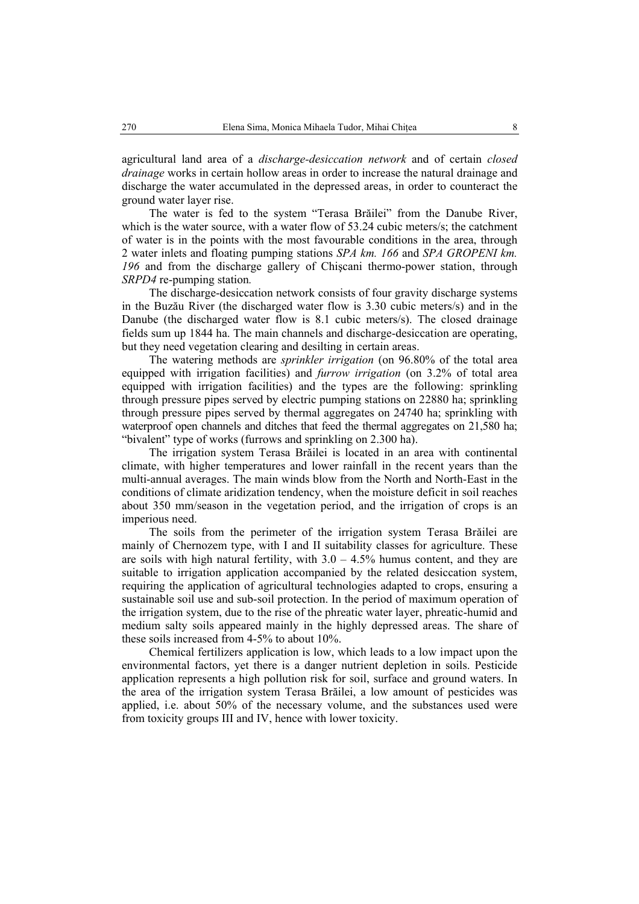agricultural land area of a *discharge-desiccation network* and of certain *closed drainage* works in certain hollow areas in order to increase the natural drainage and discharge the water accumulated in the depressed areas, in order to counteract the ground water layer rise.

The water is fed to the system "Terasa Brăilei" from the Danube River, which is the water source, with a water flow of 53.24 cubic meters/s; the catchment of water is in the points with the most favourable conditions in the area, through 2 water inlets and floating pumping stations *SPA km. 166* and *SPA GROPENI km. 196* and from the discharge gallery of Chişcani thermo-power station, through *SRPD4* re-pumping station*.*

The discharge-desiccation network consists of four gravity discharge systems in the Buzău River (the discharged water flow is 3.30 cubic meters/s) and in the Danube (the discharged water flow is 8.1 cubic meters/s). The closed drainage fields sum up 1844 ha. The main channels and discharge-desiccation are operating, but they need vegetation clearing and desilting in certain areas.

The watering methods are *sprinkler irrigation* (on 96.80% of the total area equipped with irrigation facilities) and *furrow irrigation* (on 3.2% of total area equipped with irrigation facilities) and the types are the following: sprinkling through pressure pipes served by electric pumping stations on 22880 ha; sprinkling through pressure pipes served by thermal aggregates on 24740 ha; sprinkling with waterproof open channels and ditches that feed the thermal aggregates on 21,580 ha; "bivalent" type of works (furrows and sprinkling on 2.300 ha).

The irrigation system Terasa Brăilei is located in an area with continental climate, with higher temperatures and lower rainfall in the recent years than the multi-annual averages. The main winds blow from the North and North-East in the conditions of climate aridization tendency, when the moisture deficit in soil reaches about 350 mm/season in the vegetation period, and the irrigation of crops is an imperious need.

The soils from the perimeter of the irrigation system Terasa Brăilei are mainly of Chernozem type, with I and II suitability classes for agriculture. These are soils with high natural fertility, with  $3.0 - 4.5\%$  humus content, and they are suitable to irrigation application accompanied by the related desiccation system, requiring the application of agricultural technologies adapted to crops, ensuring a sustainable soil use and sub-soil protection. In the period of maximum operation of the irrigation system, due to the rise of the phreatic water layer, phreatic-humid and medium salty soils appeared mainly in the highly depressed areas. The share of these soils increased from 4-5% to about 10%.

Chemical fertilizers application is low, which leads to a low impact upon the environmental factors, yet there is a danger nutrient depletion in soils. Pesticide application represents a high pollution risk for soil, surface and ground waters. In the area of the irrigation system Terasa Brăilei, a low amount of pesticides was applied, i.e. about 50% of the necessary volume, and the substances used were from toxicity groups III and IV, hence with lower toxicity.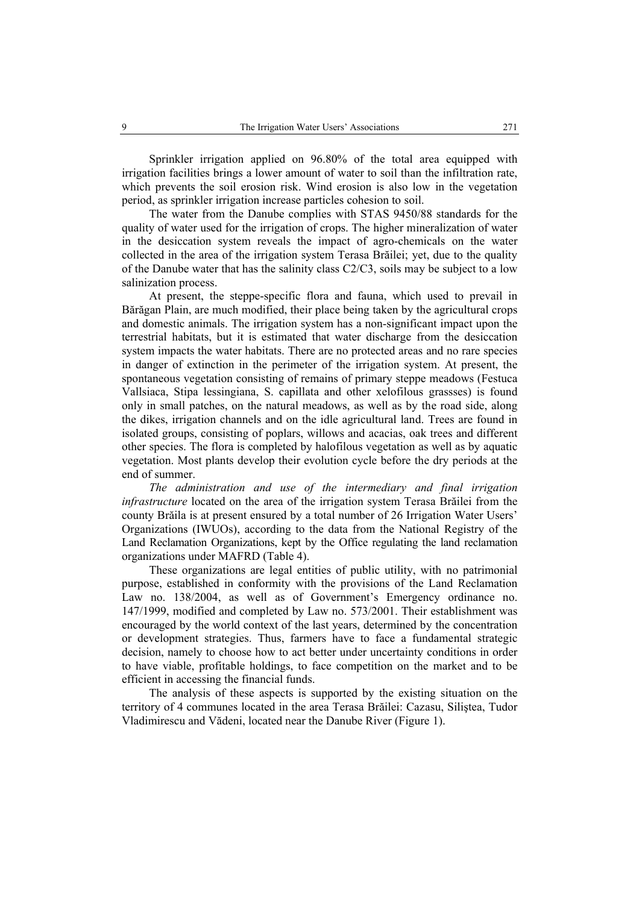Sprinkler irrigation applied on 96.80% of the total area equipped with irrigation facilities brings a lower amount of water to soil than the infiltration rate, which prevents the soil erosion risk. Wind erosion is also low in the vegetation period, as sprinkler irrigation increase particles cohesion to soil.

The water from the Danube complies with STAS 9450/88 standards for the quality of water used for the irrigation of crops. The higher mineralization of water in the desiccation system reveals the impact of agro-chemicals on the water collected in the area of the irrigation system Terasa Brăilei; yet, due to the quality of the Danube water that has the salinity class C2/C3, soils may be subject to a low salinization process.

At present, the steppe-specific flora and fauna, which used to prevail in Bărăgan Plain, are much modified, their place being taken by the agricultural crops and domestic animals. The irrigation system has a non-significant impact upon the terrestrial habitats, but it is estimated that water discharge from the desiccation system impacts the water habitats. There are no protected areas and no rare species in danger of extinction in the perimeter of the irrigation system. At present, the spontaneous vegetation consisting of remains of primary steppe meadows (Festuca Vallsiaca, Stipa lessingiana, S. capillata and other xelofilous grassses) is found only in small patches, on the natural meadows, as well as by the road side, along the dikes, irrigation channels and on the idle agricultural land. Trees are found in isolated groups, consisting of poplars, willows and acacias, oak trees and different other species. The flora is completed by halofilous vegetation as well as by aquatic vegetation. Most plants develop their evolution cycle before the dry periods at the end of summer.

*The administration and use of the intermediary and final irrigation infrastructure* located on the area of the irrigation system Terasa Brăilei from the county Brăila is at present ensured by a total number of 26 Irrigation Water Users' Organizations (IWUOs), according to the data from the National Registry of the Land Reclamation Organizations, kept by the Office regulating the land reclamation organizations under MAFRD (Table 4).

These organizations are legal entities of public utility, with no patrimonial purpose, established in conformity with the provisions of the Land Reclamation Law no. 138/2004, as well as of Government's Emergency ordinance no. 147/1999, modified and completed by Law no. 573/2001. Their establishment was encouraged by the world context of the last years, determined by the concentration or development strategies. Thus, farmers have to face a fundamental strategic decision, namely to choose how to act better under uncertainty conditions in order to have viable, profitable holdings, to face competition on the market and to be efficient in accessing the financial funds.

The analysis of these aspects is supported by the existing situation on the territory of 4 communes located in the area Terasa Brăilei: Cazasu, Siliştea, Tudor Vladimirescu and Vădeni, located near the Danube River (Figure 1).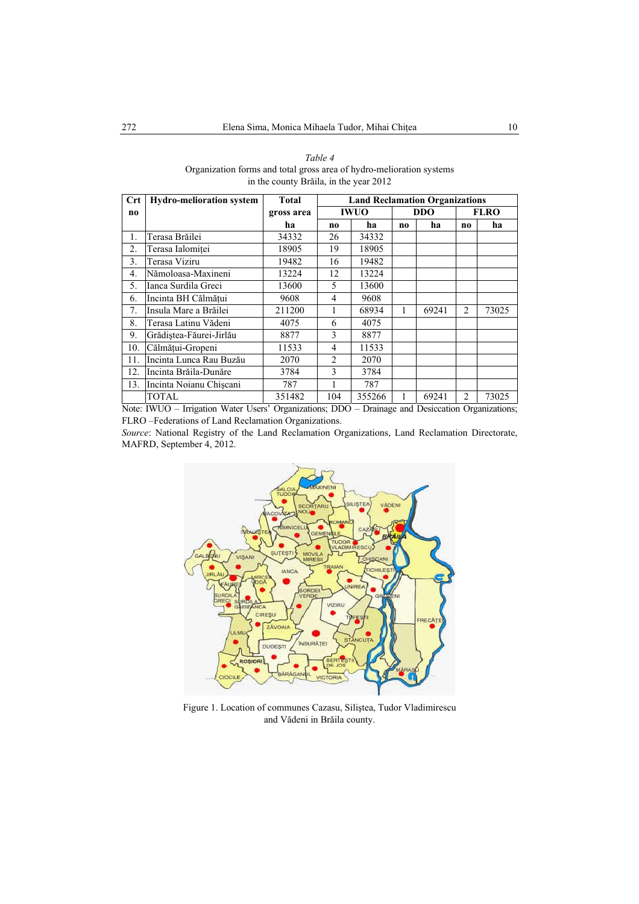| Table 4                                                              |
|----------------------------------------------------------------------|
| Organization forms and total gross area of hydro-melioration systems |
| in the county Brăila, in the year 2012                               |

| $\mathbf{Crt}$   | <b>Hydro-melioration system</b>                                                                                                                                                                                                                                                  | <b>Total</b> | <b>Land Reclamation Organizations</b> |        |            |                 |                |       |
|------------------|----------------------------------------------------------------------------------------------------------------------------------------------------------------------------------------------------------------------------------------------------------------------------------|--------------|---------------------------------------|--------|------------|-----------------|----------------|-------|
| no               |                                                                                                                                                                                                                                                                                  | gross area   | <b>IWUO</b>                           |        | <b>DDO</b> |                 | <b>FLRO</b>    |       |
|                  |                                                                                                                                                                                                                                                                                  | ha           | no                                    | ha     | no         | ha              | no             | ha    |
| 1.               | Terasa Brăilei                                                                                                                                                                                                                                                                   | 34332        | 26                                    | 34332  |            |                 |                |       |
| 2.               | Terasa Ialomitei                                                                                                                                                                                                                                                                 | 18905        | 19                                    | 18905  |            |                 |                |       |
| 3.               | Terasa Viziru                                                                                                                                                                                                                                                                    | 19482        | 16                                    | 19482  |            |                 |                |       |
| $\overline{4}$ . | Nămoloasa-Maxineni                                                                                                                                                                                                                                                               | 13224        | 12                                    | 13224  |            |                 |                |       |
| 5.               | Ianca Surdila Greci                                                                                                                                                                                                                                                              | 13600        | 5                                     | 13600  |            |                 |                |       |
| 6.               | Incinta BH Călmătui                                                                                                                                                                                                                                                              | 9608         | 4                                     | 9608   |            |                 |                |       |
| 7.               | Insula Mare a Brăilei                                                                                                                                                                                                                                                            | 211200       |                                       | 68934  |            | 69241           | 2              | 73025 |
| 8.               | Terasa Latinu Vădeni                                                                                                                                                                                                                                                             | 4075         | 6                                     | 4075   |            |                 |                |       |
| 9.               | Grădiștea-Făurei-Jirlău                                                                                                                                                                                                                                                          | 8877         | 3                                     | 8877   |            |                 |                |       |
| 10.              | Călmățui-Gropeni                                                                                                                                                                                                                                                                 | 11533        | 4                                     | 11533  |            |                 |                |       |
| 11.              | Incinta Lunca Rau Buzău                                                                                                                                                                                                                                                          | 2070         | $\overline{2}$                        | 2070   |            |                 |                |       |
| 12.              | Incinta Brăila-Dunăre                                                                                                                                                                                                                                                            | 3784         | 3                                     | 3784   |            |                 |                |       |
| 13.              | Incinta Noianu Chiscani                                                                                                                                                                                                                                                          | 787          |                                       | 787    |            |                 |                |       |
| .                | <b>TOTAL</b><br>the contract of the second contract of the contract of the contract of the contract of the contract of the contract of the contract of the contract of the contract of the contract of the contract of the contract of the con<br>$\sim$ $\sim$<br><b>******</b> | 351482       | 104                                   | 355266 |            | 69241<br>$\sim$ | $\mathfrak{D}$ | 73025 |

Note: IWUO – Irrigation Water Users' Organizations; DDO – Drainage and Desiccation Organizations; FLRO –Federations of Land Reclamation Organizations.

*Source*: National Registry of the Land Reclamation Organizations, Land Reclamation Directorate, MAFRD, September 4, 2012.



Figure 1. Location of communes Cazasu, Siliştea, Tudor Vladimirescu and Vădeni in Brăila county.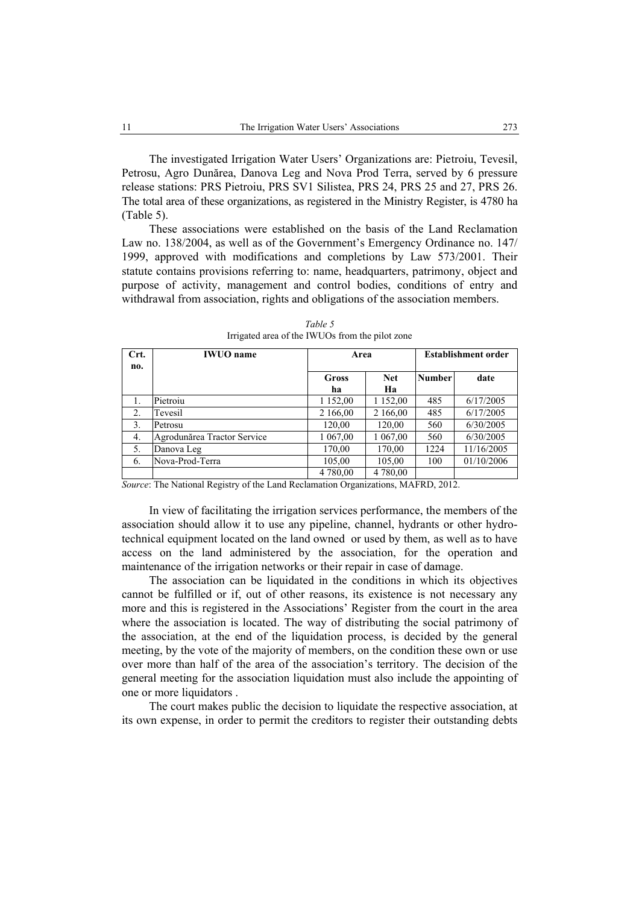The investigated Irrigation Water Users' Organizations are: Pietroiu, Tevesil, Petrosu, Agro Dunărea, Danova Leg and Nova Prod Terra, served by 6 pressure release stations: PRS Pietroiu, PRS SV1 Silistea, PRS 24, PRS 25 and 27, PRS 26. The total area of these organizations, as registered in the Ministry Register, is 4780 ha (Table 5).

These associations were established on the basis of the Land Reclamation Law no. 138/2004, as well as of the Government's Emergency Ordinance no. 147/ 1999, approved with modifications and completions by Law 573/2001. Their statute contains provisions referring to: name, headquarters, patrimony, object and purpose of activity, management and control bodies, conditions of entry and withdrawal from association, rights and obligations of the association members.

| Crt. | <b>IWUO</b> name            | Area        |                  | <b>Establishment order</b> |            |  |
|------|-----------------------------|-------------|------------------|----------------------------|------------|--|
| no.  |                             | Gross<br>ha | <b>Net</b><br>Ha | <b>Number</b>              | date       |  |
|      | Pietroiu                    | 1 152,00    | 1 152,00         | 485                        | 6/17/2005  |  |
| 2.   | Tevesil                     | 2 166,00    | 2 166,00         | 485                        | 6/17/2005  |  |
| 3.   | Petrosu                     | 120,00      | 120,00           | 560                        | 6/30/2005  |  |
| 4.   | Agrodunărea Tractor Service | 1 067,00    | 1 067,00         | 560                        | 6/30/2005  |  |
| 5.   | Danova Leg                  | 170,00      | 170,00           | 1224                       | 11/16/2005 |  |
| 6.   | Nova-Prod-Terra             | 105,00      | 105,00           | 100                        | 01/10/2006 |  |
|      |                             | 4 780,00    | 4 780,00         |                            |            |  |

*Table 5*  Irrigated area of the IWUOs from the pilot zone

*Source*: The National Registry of the Land Reclamation Organizations, MAFRD, 2012.

In view of facilitating the irrigation services performance, the members of the association should allow it to use any pipeline, channel, hydrants or other hydrotechnical equipment located on the land owned or used by them, as well as to have access on the land administered by the association, for the operation and maintenance of the irrigation networks or their repair in case of damage.

The association can be liquidated in the conditions in which its objectives cannot be fulfilled or if, out of other reasons, its existence is not necessary any more and this is registered in the Associations' Register from the court in the area where the association is located. The way of distributing the social patrimony of the association, at the end of the liquidation process, is decided by the general meeting, by the vote of the majority of members, on the condition these own or use over more than half of the area of the association's territory. The decision of the general meeting for the association liquidation must also include the appointing of one or more liquidators .

The court makes public the decision to liquidate the respective association, at its own expense, in order to permit the creditors to register their outstanding debts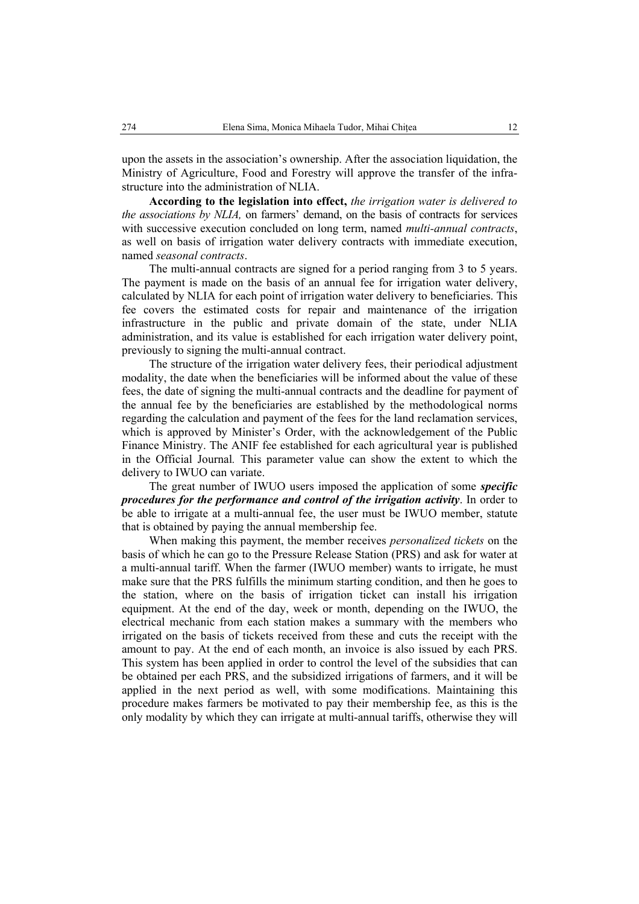upon the assets in the association's ownership. After the association liquidation, the Ministry of Agriculture, Food and Forestry will approve the transfer of the infrastructure into the administration of NLIA.

**According to the legislation into effect,** *the irrigation water is delivered to the associations by NLIA,* on farmers' demand, on the basis of contracts for services with successive execution concluded on long term, named *multi-annual contracts*, as well on basis of irrigation water delivery contracts with immediate execution, named *seasonal contracts*.

The multi-annual contracts are signed for a period ranging from 3 to 5 years. The payment is made on the basis of an annual fee for irrigation water delivery, calculated by NLIA for each point of irrigation water delivery to beneficiaries. This fee covers the estimated costs for repair and maintenance of the irrigation infrastructure in the public and private domain of the state, under NLIA administration, and its value is established for each irrigation water delivery point, previously to signing the multi-annual contract.

The structure of the irrigation water delivery fees, their periodical adjustment modality, the date when the beneficiaries will be informed about the value of these fees, the date of signing the multi-annual contracts and the deadline for payment of the annual fee by the beneficiaries are established by the methodological norms regarding the calculation and payment of the fees for the land reclamation services, which is approved by Minister's Order, with the acknowledgement of the Public Finance Ministry. The ANIF fee established for each agricultural year is published in the Official Journal*.* This parameter value can show the extent to which the delivery to IWUO can variate.

The great number of IWUO users imposed the application of some *specific procedures for the performance and control of the irrigation activity*. In order to be able to irrigate at a multi-annual fee, the user must be IWUO member, statute that is obtained by paying the annual membership fee.

When making this payment, the member receives *personalized tickets* on the basis of which he can go to the Pressure Release Station (PRS) and ask for water at a multi-annual tariff. When the farmer (IWUO member) wants to irrigate, he must make sure that the PRS fulfills the minimum starting condition, and then he goes to the station, where on the basis of irrigation ticket can install his irrigation equipment. At the end of the day, week or month, depending on the IWUO, the electrical mechanic from each station makes a summary with the members who irrigated on the basis of tickets received from these and cuts the receipt with the amount to pay. At the end of each month, an invoice is also issued by each PRS. This system has been applied in order to control the level of the subsidies that can be obtained per each PRS, and the subsidized irrigations of farmers, and it will be applied in the next period as well, with some modifications. Maintaining this procedure makes farmers be motivated to pay their membership fee, as this is the only modality by which they can irrigate at multi-annual tariffs, otherwise they will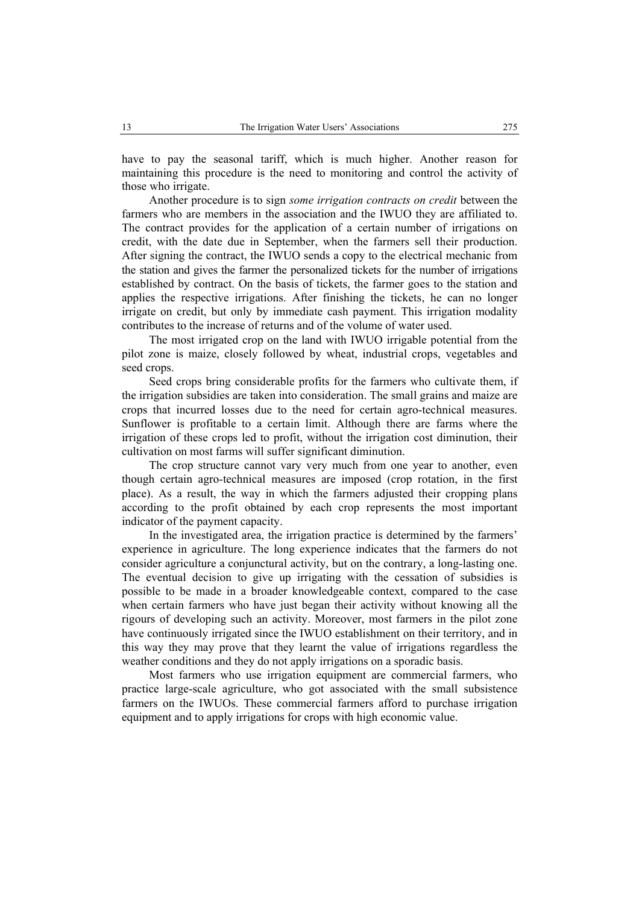have to pay the seasonal tariff, which is much higher. Another reason for maintaining this procedure is the need to monitoring and control the activity of those who irrigate.

Another procedure is to sign *some irrigation contracts on credit* between the farmers who are members in the association and the IWUO they are affiliated to. The contract provides for the application of a certain number of irrigations on credit, with the date due in September, when the farmers sell their production. After signing the contract, the IWUO sends a copy to the electrical mechanic from the station and gives the farmer the personalized tickets for the number of irrigations established by contract. On the basis of tickets, the farmer goes to the station and applies the respective irrigations. After finishing the tickets, he can no longer irrigate on credit, but only by immediate cash payment. This irrigation modality contributes to the increase of returns and of the volume of water used.

The most irrigated crop on the land with IWUO irrigable potential from the pilot zone is maize, closely followed by wheat, industrial crops, vegetables and seed crops.

Seed crops bring considerable profits for the farmers who cultivate them, if the irrigation subsidies are taken into consideration. The small grains and maize are crops that incurred losses due to the need for certain agro-technical measures. Sunflower is profitable to a certain limit. Although there are farms where the irrigation of these crops led to profit, without the irrigation cost diminution, their cultivation on most farms will suffer significant diminution.

The crop structure cannot vary very much from one year to another, even though certain agro-technical measures are imposed (crop rotation, in the first place). As a result, the way in which the farmers adjusted their cropping plans according to the profit obtained by each crop represents the most important indicator of the payment capacity.

In the investigated area, the irrigation practice is determined by the farmers' experience in agriculture. The long experience indicates that the farmers do not consider agriculture a conjunctural activity, but on the contrary, a long-lasting one. The eventual decision to give up irrigating with the cessation of subsidies is possible to be made in a broader knowledgeable context, compared to the case when certain farmers who have just began their activity without knowing all the rigours of developing such an activity. Moreover, most farmers in the pilot zone have continuously irrigated since the IWUO establishment on their territory, and in this way they may prove that they learnt the value of irrigations regardless the weather conditions and they do not apply irrigations on a sporadic basis.

Most farmers who use irrigation equipment are commercial farmers, who practice large-scale agriculture, who got associated with the small subsistence farmers on the IWUOs. These commercial farmers afford to purchase irrigation equipment and to apply irrigations for crops with high economic value.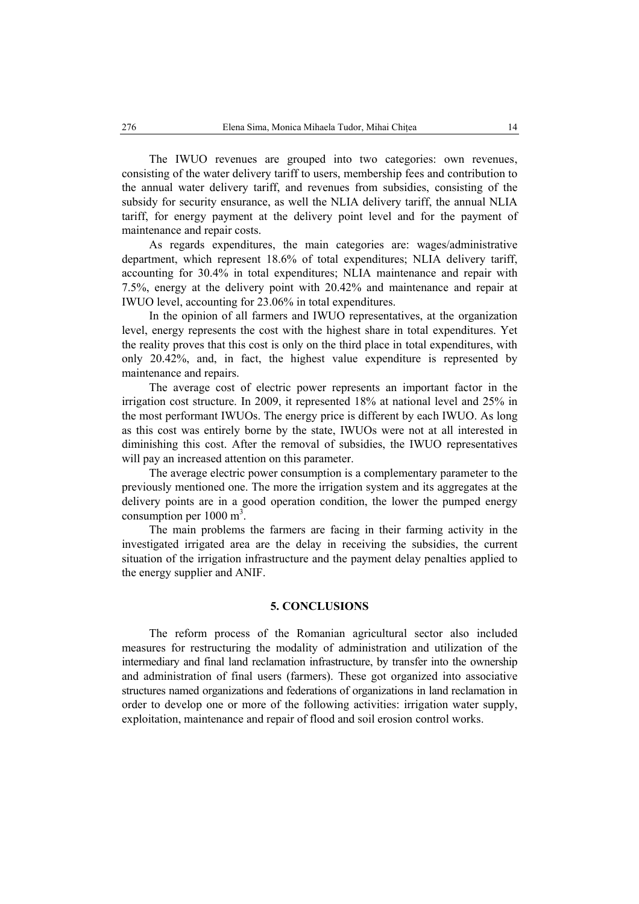The IWUO revenues are grouped into two categories: own revenues, consisting of the water delivery tariff to users, membership fees and contribution to the annual water delivery tariff, and revenues from subsidies, consisting of the subsidy for security ensurance, as well the NLIA delivery tariff, the annual NLIA tariff, for energy payment at the delivery point level and for the payment of maintenance and repair costs.

As regards expenditures, the main categories are: wages/administrative department, which represent 18.6% of total expenditures; NLIA delivery tariff, accounting for 30.4% in total expenditures; NLIA maintenance and repair with 7.5%, energy at the delivery point with 20.42% and maintenance and repair at IWUO level, accounting for 23.06% in total expenditures.

In the opinion of all farmers and IWUO representatives, at the organization level, energy represents the cost with the highest share in total expenditures. Yet the reality proves that this cost is only on the third place in total expenditures, with only 20.42%, and, in fact, the highest value expenditure is represented by maintenance and repairs.

The average cost of electric power represents an important factor in the irrigation cost structure. In 2009, it represented 18% at national level and 25% in the most performant IWUOs. The energy price is different by each IWUO. As long as this cost was entirely borne by the state, IWUOs were not at all interested in diminishing this cost. After the removal of subsidies, the IWUO representatives will pay an increased attention on this parameter.

The average electric power consumption is a complementary parameter to the previously mentioned one. The more the irrigation system and its aggregates at the delivery points are in a good operation condition, the lower the pumped energy consumption per  $1000 \text{ m}^3$ .

The main problems the farmers are facing in their farming activity in the investigated irrigated area are the delay in receiving the subsidies, the current situation of the irrigation infrastructure and the payment delay penalties applied to the energy supplier and ANIF.

## **5. CONCLUSIONS**

The reform process of the Romanian agricultural sector also included measures for restructuring the modality of administration and utilization of the intermediary and final land reclamation infrastructure, by transfer into the ownership and administration of final users (farmers). These got organized into associative structures named organizations and federations of organizations in land reclamation in order to develop one or more of the following activities: irrigation water supply, exploitation, maintenance and repair of flood and soil erosion control works.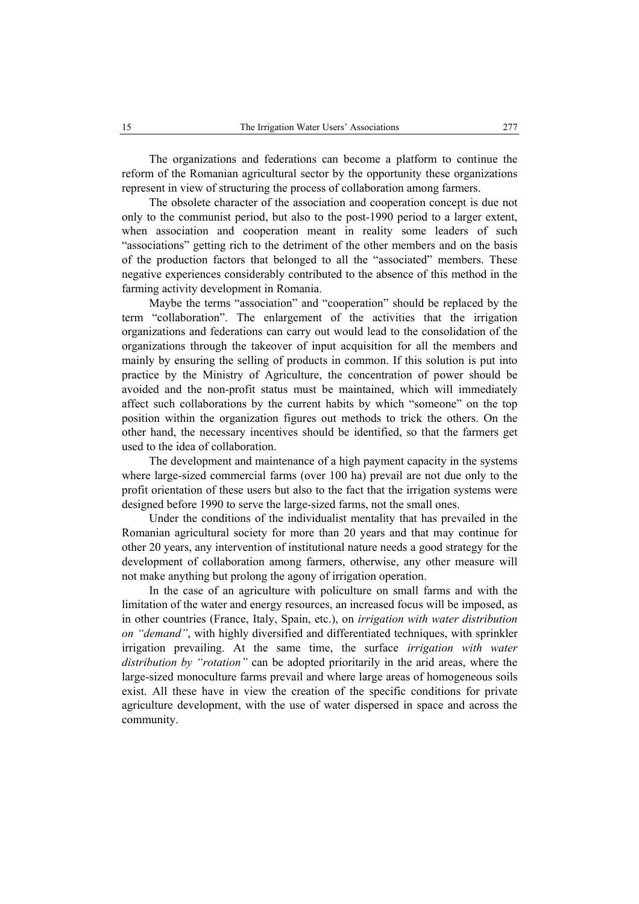The organizations and federations can become a platform to continue the reform of the Romanian agricultural sector by the opportunity these organizations represent in view of structuring the process of collaboration among farmers.

The obsolete character of the association and cooperation concept is due not only to the communist period, but also to the post-1990 period to a larger extent, when association and cooperation meant in reality some leaders of such "associations" getting rich to the detriment of the other members and on the basis of the production factors that belonged to all the "associated" members. These negative experiences considerably contributed to the absence of this method in the farming activity development in Romania.

Maybe the terms "association" and "cooperation" should be replaced by the term "collaboration". The enlargement of the activities that the irrigation organizations and federations can carry out would lead to the consolidation of the organizations through the takeover of input acquisition for all the members and mainly by ensuring the selling of products in common. If this solution is put into practice by the Ministry of Agriculture, the concentration of power should be avoided and the non-profit status must be maintained, which will immediately affect such collaborations by the current habits by which "someone" on the top position within the organization figures out methods to trick the others. On the other hand, the necessary incentives should be identified, so that the farmers get used to the idea of collaboration.

The development and maintenance of a high payment capacity in the systems where large-sized commercial farms (over 100 ha) prevail are not due only to the profit orientation of these users but also to the fact that the irrigation systems were designed before 1990 to serve the large-sized farms, not the small ones.

Under the conditions of the individualist mentality that has prevailed in the Romanian agricultural society for more than 20 years and that may continue for other 20 years, any intervention of institutional nature needs a good strategy for the development of collaboration among farmers, otherwise, any other measure will not make anything but prolong the agony of irrigation operation.

In the case of an agriculture with policulture on small farms and with the limitation of the water and energy resources, an increased focus will be imposed, as in other countries (France, Italy, Spain, etc.), on *irrigation with water distribution on "demand"*, with highly diversified and differentiated techniques, with sprinkler irrigation prevailing. At the same time, the surface *irrigation with water distribution by "rotation"* can be adopted prioritarily in the arid areas, where the large-sized monoculture farms prevail and where large areas of homogeneous soils exist. All these have in view the creation of the specific conditions for private agriculture development, with the use of water dispersed in space and across the community.